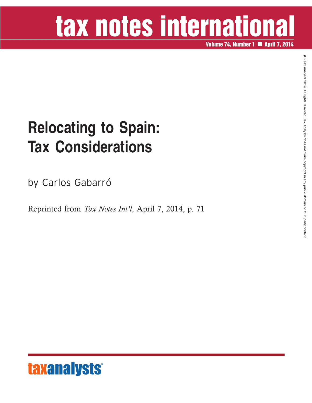# tax notes international

**Volume 74, Number 1 April 7, 2014**

### **Relocating to Spain: Tax Considerations**

by Carlos Gabarró

Reprinted from *Tax Notes Int'l*, April 7, 2014, p. 71



 $\widehat{\Omega}$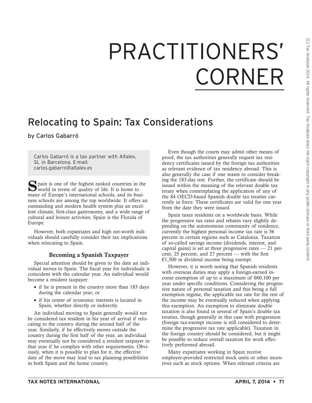## PRACTITIONERS' CORNER

### Relocating to Spain: Tax Considerations

by Carlos Gabarró

Carlos Gabarró is a tax partner with Altalex, SL in Barcelona. E-mail: carlos.gabarro@altalex.es

Spain is one of the highest ranked countries in the world in terms of quality of life. It is home to many of Europe's international schools, and its business schools are among the top worldwide. It offers an outstanding and modern health system plus an excellent climate, first-class gastronomy, and a wide range of cultural and leisure activities. Spain is the Florida of Europe.

However, both expatriates and high net-worth individuals should carefully consider their tax implications when relocating to Spain.

#### **Becoming a Spanish Taxpayer**

Special attention should be given to the date an individual moves to Spain. The fiscal year for individuals is coincident with the calendar year. An individual would become a resident taxpayer:

- if he is present in the country more than 183 days during the calendar year; or
- if his center of economic interests is located in Spain, whether directly or indirectly.

An individual moving to Spain generally would not be considered tax resident in his year of arrival if relocating to the country during the second half of the year. Similarly, if he effectively moves outside the country during the first half of the year, an individual may eventually not be considered a resident taxpayer in that year if he complies with other requirements. Obviously, when it is possible to plan for it, the effective date of the move may lead to tax planning possibilities in both Spain and the home country.

Even though the courts may admit other means of proof, the tax authorities generally request tax residency certificates issued by the foreign tax authorities as relevant evidence of tax residency abroad. This is also generally the case if one wants to consider breaking the 183-day test. Further, the certificate should be issued within the meaning of the relevant double tax treaty when contemplating the application of any of the 84 OECD-based Spanish double tax treaties currently in force. These certificates are valid for one year from the date they were issued.

Spain taxes residents on a worldwide basis. While the progressive tax rates and rebates vary slightly depending on the autonomous community of residence, currently the highest personal income tax rate is 56 percent in certain regions such as Catalonia. Taxation of so-called savings income (dividends, interest, and capital gains) is set at three progressive rates  $-21$  percent, 25 percent, and 27 percent — with the first €1,500 in dividend income being exempt.

However, it is worth noting that Spanish residents with overseas duties may apply a foreign-earned income exemption of up to a maximum of  $\epsilon$ 60,100 per year under specific conditions. Considering the progressive nature of personal taxation and this being a full exemption regime, the applicable tax rate for the rest of the income may be eventually reduced when applying this exemption. An exemption to eliminate double taxation is also found in several of Spain's double tax treaties, though generally in this case with progression (foreign tax-exempt income is still considered to determine the progressive tax rate applicable). Taxation in the foreign country should be considered, but it might be possible to reduce overall taxation for work effectively performed abroad.

Many expatriates working in Spain receive employer-provided restricted stock units or other incentives such as stock options. When relevant criteria are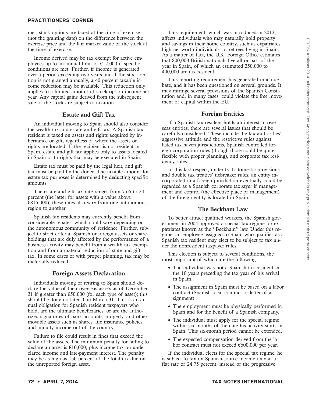met, stock options are taxed at the time of exercise (not the granting date) on the difference between the exercise price and the fair market value of the stock at the time of exercise.

Income derived may be tax exempt for active employees up to an annual limit of  $£12,000$  if specific conditions are met. Further, if income is generated over a period exceeding two years and if the stock option is not granted annually, a 40 percent taxable income reduction may be available. This reduction only applies to a limited amount of stock option income per year. Any capital gains derived from the subsequent sale of the stock are subject to taxation.

#### **Estate and Gift Tax**

An individual moving to Spain should also consider the wealth tax and estate and gift tax. A Spanish tax resident is taxed on assets and rights acquired by inheritance or gift, regardless of where the assets or rights are located. If the recipient is not resident in Spain, estate and gift tax applies only to assets located in Spain or to rights that may be executed in Spain.

Estate tax must be paid by the legal heir, and gift tax must be paid by the donee. The taxable amount for estate tax purposes is determined by deducting specific amounts.

The estate and gift tax rate ranges from 7.65 to 34 percent (the latter for assets with a value above  $E$ 815,000); these rates also vary from one autonomous region to another.

Spanish tax residents may currently benefit from considerable rebates, which could vary depending on the autonomous community of residence. Further, subject to strict criteria, Spanish or foreign assets or shareholdings that are duly affected by the performance of a business activity may benefit from a wealth tax exemption and from a material reduction of state and gift tax. In some cases or with proper planning, tax may be materially reduced.

#### **Foreign Assets Declaration**

Individuals moving or retiring to Spain should declare the value of their overseas assets as of December 31 if greater than  $€50,000$  (for each type of asset); this should be done no later than March 31. This is an annual obligation for Spanish resident taxpayers who hold, are the ultimate beneficiaries, or are the authorized signatories of bank accounts, property, and other movable assets such as shares, life insurance policies, and annuity income out of the country.

Failure to file could result in fines that exceed the value of the assets. The minimum penalty for failing to declare an asset is  $€10,000$ , plus income tax on undeclared income and late-payment interest. The penalty may be as high as 150 percent of the total tax due on the unreported foreign asset.

(C) Tax Analysts 2014. All rights reserved. Tax Analysts does not claim copyright in any public domain or third party content.(C) Tax Analysts 2014. All rights reserved. Tax Analysts does not claim copyright in any public domain or third party content

This requirement, which was introduced in 2013, affects individuals who may naturally hold property and savings in their home country, such as expatriates, high net-worth individuals, or retirees living in Spain. As a matter of fact, the U.K. Foreign Office estimates that 800,000 British nationals live all or part of the year in Spain, of which an estimated 250,000 to 400,000 are tax resident.

This reporting requirement has generated much debate, and it has been questioned on several grounds. It may infringe several provisions of the Spanish Constitution and, in many cases, could violate the free movement of capital within the EU.

#### **Foreign Entities**

If a Spanish tax resident holds an interest in overseas entities, there are several issues that should be carefully considered. These include the tax authorities' aggressive attitude and the restrictive rules against listed tax haven jurisdictions, Spanish controlled foreign corporation rules (though those could be quite flexible with proper planning), and corporate tax residency rules.

In this last respect, under both domestic provisions and double tax treaties' tiebreaker rules, an entity incorporated in a foreign jurisdiction eventually could be regarded as a Spanish corporate taxpayer if management and control (the effective place of management) of the foreign entity is located in Spain.

#### **The Beckham Law**

To better attract qualified workers, the Spanish government in 2004 approved a special tax regime for expatriates known as the ''Beckham'' law. Under this regime, an employee assigned to Spain who qualifies as a Spanish tax resident may elect to be subject to tax under the nonresident taxpayer rules.

This election is subject to several conditions, the most important of which are the following:

- The individual was not a Spanish tax resident in the 10 years preceding the tax year of his arrival in Spain.
- The assignment in Spain must be based on a labor contract (Spanish local contract or letter of assignment).
- The employment must be physically performed in Spain and for the benefit of a Spanish company.
- The individual must apply for the special regime within six months of the date his activity starts in Spain. This six-month period cannot be extended.
- The expected compensation derived from the labor contract must not exceed €600,000 per year.

If the individual elects for the special tax regime, he is subject to tax on Spanish-source income only at a flat rate of 24.75 percent, instead of the progressive